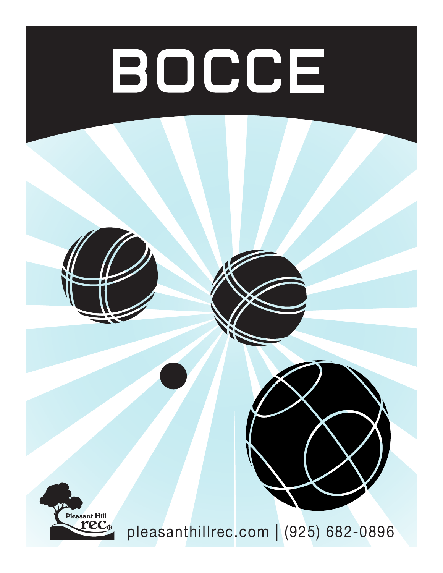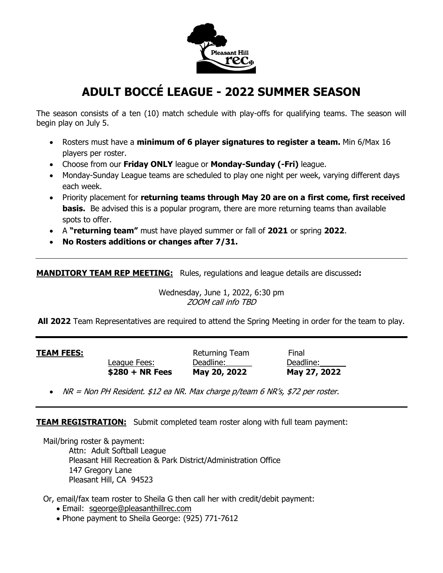

# **ADULT BOCCÉ LEAGUE - 2022 SUMMER SEASON**

The season consists of a ten (10) match schedule with play-offs for qualifying teams. The season will begin play on July 5.

- Rosters must have a **minimum of 6 player signatures to register a team.** Min 6/Max 16 players per roster.
- Choose from our **Friday ONLY** league or **Monday-Sunday (-Fri)** league.
- Monday-Sunday League teams are scheduled to play one night per week, varying different days each week.
- Priority placement for **returning teams through May 20 are on a first come, first received basis.** Be advised this is a popular program, there are more returning teams than available spots to offer.
- A **"returning team"** must have played summer or fall of **2021** or spring **2022**.
- **No Rosters additions or changes after 7/31.**

**MANDITORY TEAM REP MEETING:** Rules, regulations and league details are discussed**:**

Wednesday, June 1, 2022, 6:30 pm ZOOM call info TBD

**All 2022** Team Representatives are required to attend the Spring Meeting in order for the team to play.

**TEAM FEES:** Returning Team Final League Fees: Deadline: Deadline: Deadline: **\$280 + NR Fees May 20, 2022 May 27, 2022**

• NR = Non PH Resident. \$12 ea NR. Max charge p/team 6 NR's, \$72 per roster.

**TEAM REGISTRATION:** Submit completed team roster along with full team payment:

Mail/bring roster & payment:

Attn: Adult Softball League Pleasant Hill Recreation & Park District/Administration Office 147 Gregory Lane Pleasant Hill, CA 94523

Or, email/fax team roster to Sheila G then call her with credit/debit payment:

- Email: [sgeorge@pleasanthillrec.com](mailto:sgeorge@pleasanthillrec.com)
- Phone payment to Sheila George: (925) 771-7612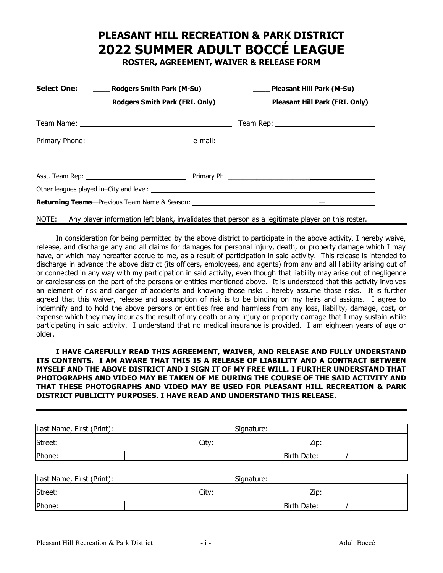# **PLEASANT HILL RECREATION & PARK DISTRICT 2022 SUMMER ADULT BOCCÉ LEAGUE**

**ROSTER, AGREEMENT, WAIVER & RELEASE FORM**

|                     | Select One: _______ Rodgers Smith Park (M-Su) |  | Pleasant Hill Park (M-Su)      |  |  |
|---------------------|-----------------------------------------------|--|--------------------------------|--|--|
|                     | <b>Nodgers Smith Park (FRI. Only)</b>         |  | Pleasant Hill Park (FRI. Only) |  |  |
|                     |                                               |  |                                |  |  |
| Primary Phone: 2008 |                                               |  |                                |  |  |
|                     |                                               |  |                                |  |  |
|                     |                                               |  |                                |  |  |
|                     |                                               |  |                                |  |  |
|                     |                                               |  |                                |  |  |
|                     |                                               |  |                                |  |  |

### NOTE: Any player information left blank, invalidates that person as a legitimate player on this roster.

In consideration for being permitted by the above district to participate in the above activity, I hereby waive, release, and discharge any and all claims for damages for personal injury, death, or property damage which I may have, or which may hereafter accrue to me, as a result of participation in said activity. This release is intended to discharge in advance the above district (its officers, employees, and agents) from any and all liability arising out of or connected in any way with my participation in said activity, even though that liability may arise out of negligence or carelessness on the part of the persons or entities mentioned above. It is understood that this activity involves an element of risk and danger of accidents and knowing those risks I hereby assume those risks. It is further agreed that this waiver, release and assumption of risk is to be binding on my heirs and assigns. I agree to indemnify and to hold the above persons or entities free and harmless from any loss, liability, damage, cost, or expense which they may incur as the result of my death or any injury or property damage that I may sustain while participating in said activity. I understand that no medical insurance is provided. I am eighteen years of age or older.

### **I HAVE CAREFULLY READ THIS AGREEMENT, WAIVER, AND RELEASE AND FULLY UNDERSTAND ITS CONTENTS. I AM AWARE THAT THIS IS A RELEASE OF LIABILITY AND A CONTRACT BETWEEN MYSELF AND THE ABOVE DISTRICT AND I SIGN IT OF MY FREE WILL. I FURTHER UNDERSTAND THAT PHOTOGRAPHS AND VIDEO MAY BE TAKEN OF ME DURING THE COURSE OF THE SAID ACTIVITY AND THAT THESE PHOTOGRAPHS AND VIDEO MAY BE USED FOR PLEASANT HILL RECREATION & PARK DISTRICT PUBLICITY PURPOSES. I HAVE READ AND UNDERSTAND THIS RELEASE**.

| Last Name, First (Print): |       | Signature:  |  |
|---------------------------|-------|-------------|--|
| Street:                   | City: | Zip:        |  |
| Phone:                    |       | Birth Date: |  |
|                           |       |             |  |

| Last Name, First (Print): |       | Signature:  |  |
|---------------------------|-------|-------------|--|
| Street:                   | City: | Zip:        |  |
| Phone:                    |       | Birth Date: |  |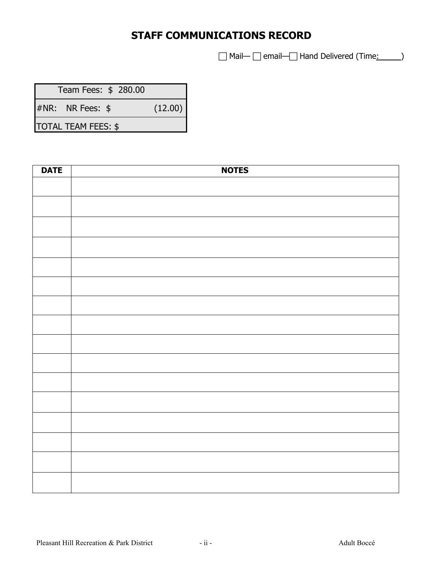# **STAFF COMMUNICATIONS RECORD**

□ Mail— □ email— Hand Delivered (Time: )

 Team Fees: \$ 280.00 #NR: NR Fees: \$ (12.00)

TOTAL TEAM FEES: \$

| <b>DATE</b> | <b>NOTES</b> |
|-------------|--------------|
|             |              |
|             |              |
|             |              |
|             |              |
|             |              |
|             |              |
|             |              |
|             |              |
|             |              |
|             |              |
|             |              |
|             |              |
|             |              |
|             |              |
|             |              |
|             |              |
|             |              |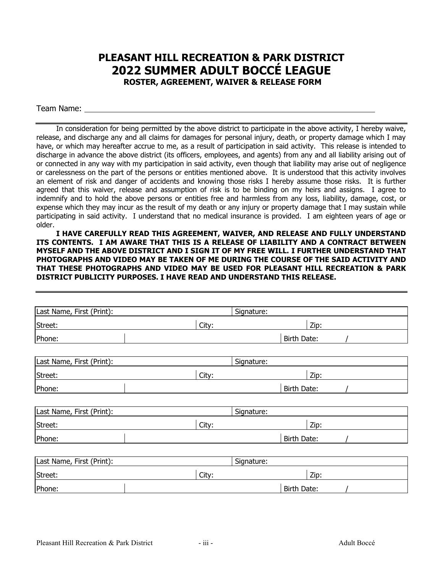### **PLEASANT HILL RECREATION & PARK DISTRICT 2022 SUMMER ADULT BOCCÉ LEAGUE ROSTER, AGREEMENT, WAIVER & RELEASE FORM**

Team Name:

In consideration for being permitted by the above district to participate in the above activity, I hereby waive, release, and discharge any and all claims for damages for personal injury, death, or property damage which I may have, or which may hereafter accrue to me, as a result of participation in said activity. This release is intended to discharge in advance the above district (its officers, employees, and agents) from any and all liability arising out of or connected in any way with my participation in said activity, even though that liability may arise out of negligence or carelessness on the part of the persons or entities mentioned above. It is understood that this activity involves an element of risk and danger of accidents and knowing those risks I hereby assume those risks. It is further agreed that this waiver, release and assumption of risk is to be binding on my heirs and assigns. I agree to indemnify and to hold the above persons or entities free and harmless from any loss, liability, damage, cost, or expense which they may incur as the result of my death or any injury or property damage that I may sustain while participating in said activity. I understand that no medical insurance is provided. I am eighteen years of age or older.

**I HAVE CAREFULLY READ THIS AGREEMENT, WAIVER, AND RELEASE AND FULLY UNDERSTAND ITS CONTENTS. I AM AWARE THAT THIS IS A RELEASE OF LIABILITY AND A CONTRACT BETWEEN MYSELF AND THE ABOVE DISTRICT AND I SIGN IT OF MY FREE WILL. I FURTHER UNDERSTAND THAT PHOTOGRAPHS AND VIDEO MAY BE TAKEN OF ME DURING THE COURSE OF THE SAID ACTIVITY AND THAT THESE PHOTOGRAPHS AND VIDEO MAY BE USED FOR PLEASANT HILL RECREATION & PARK DISTRICT PUBLICITY PURPOSES. I HAVE READ AND UNDERSTAND THIS RELEASE.**

| Last Name, First (Print): |       | Signature:  |  |
|---------------------------|-------|-------------|--|
| Street:                   | City: | Zip:        |  |
| Phone:                    |       | Birth Date: |  |
|                           |       |             |  |
| Last Name, First (Print): |       | Signature:  |  |
| Street:                   | City: | Zip:        |  |
| Phone:                    |       | Birth Date: |  |
|                           |       |             |  |
| Last Name, First (Print): |       | Signature:  |  |
| Street:                   | City: | Zip:        |  |
| Phone:                    |       | Birth Date: |  |
|                           |       |             |  |
| Last Name, First (Print): |       | Signature:  |  |
| Street:                   | City: | Zip:        |  |
| Phone:                    |       | Birth Date: |  |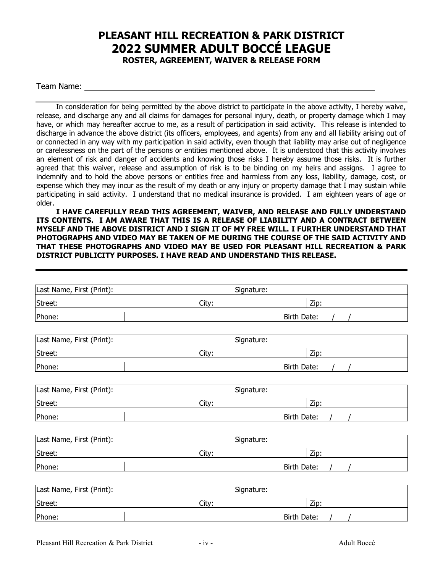## **PLEASANT HILL RECREATION & PARK DISTRICT 2022 SUMMER ADULT BOCCÉ LEAGUE ROSTER, AGREEMENT, WAIVER & RELEASE FORM**

Team Name:

In consideration for being permitted by the above district to participate in the above activity, I hereby waive, release, and discharge any and all claims for damages for personal injury, death, or property damage which I may have, or which may hereafter accrue to me, as a result of participation in said activity. This release is intended to discharge in advance the above district (its officers, employees, and agents) from any and all liability arising out of or connected in any way with my participation in said activity, even though that liability may arise out of negligence or carelessness on the part of the persons or entities mentioned above. It is understood that this activity involves an element of risk and danger of accidents and knowing those risks I hereby assume those risks. It is further agreed that this waiver, release and assumption of risk is to be binding on my heirs and assigns. I agree to indemnify and to hold the above persons or entities free and harmless from any loss, liability, damage, cost, or expense which they may incur as the result of my death or any injury or property damage that I may sustain while participating in said activity. I understand that no medical insurance is provided. I am eighteen years of age or older.

**I HAVE CAREFULLY READ THIS AGREEMENT, WAIVER, AND RELEASE AND FULLY UNDERSTAND ITS CONTENTS. I AM AWARE THAT THIS IS A RELEASE OF LIABILITY AND A CONTRACT BETWEEN MYSELF AND THE ABOVE DISTRICT AND I SIGN IT OF MY FREE WILL. I FURTHER UNDERSTAND THAT PHOTOGRAPHS AND VIDEO MAY BE TAKEN OF ME DURING THE COURSE OF THE SAID ACTIVITY AND THAT THESE PHOTOGRAPHS AND VIDEO MAY BE USED FOR PLEASANT HILL RECREATION & PARK DISTRICT PUBLICITY PURPOSES. I HAVE READ AND UNDERSTAND THIS RELEASE.**

| Last Name, First (Print): |       | Signature:  |  |
|---------------------------|-------|-------------|--|
| Street:                   | City: | Zip:        |  |
| Phone:                    |       | Birth Date: |  |
| Last Name, First (Print): |       | Signature:  |  |
| Street:                   | City: | Zip:        |  |
| Phone:                    |       | Birth Date: |  |
| Last Name, First (Print): |       | Signature:  |  |
| Street:                   | City: | Zip:        |  |
| Phone:                    |       | Birth Date: |  |
| Last Name, First (Print): |       | Signature:  |  |
| Street:                   | City: | Zip:        |  |
| Phone:                    |       | Birth Date: |  |
| Last Name, First (Print): |       | Signature:  |  |
| Street:                   | City: | Zip:        |  |
| Phone:                    |       | Birth Date: |  |